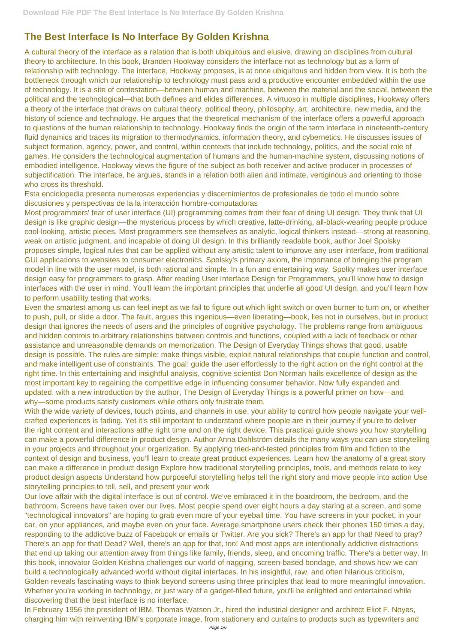# **The Best Interface Is No Interface By Golden Krishna**

A cultural theory of the interface as a relation that is both ubiquitous and elusive, drawing on disciplines from cultural theory to architecture. In this book, Branden Hookway considers the interface not as technology but as a form of relationship with technology. The interface, Hookway proposes, is at once ubiquitous and hidden from view. It is both the bottleneck through which our relationship to technology must pass and a productive encounter embedded within the use of technology. It is a site of contestation—between human and machine, between the material and the social, between the political and the technological—that both defines and elides differences. A virtuoso in multiple disciplines, Hookway offers a theory of the interface that draws on cultural theory, political theory, philosophy, art, architecture, new media, and the history of science and technology. He argues that the theoretical mechanism of the interface offers a powerful approach to questions of the human relationship to technology. Hookway finds the origin of the term interface in nineteenth-century fluid dynamics and traces its migration to thermodynamics, information theory, and cybernetics. He discusses issues of subject formation, agency, power, and control, within contexts that include technology, politics, and the social role of games. He considers the technological augmentation of humans and the human-machine system, discussing notions of embodied intelligence. Hookway views the figure of the subject as both receiver and active producer in processes of subjectification. The interface, he argues, stands in a relation both alien and intimate, vertiginous and orienting to those who cross its threshold.

Esta enciclopedia presenta numerosas experiencias y discernimientos de profesionales de todo el mundo sobre discusiones y perspectivas de la la interacción hombre-computadoras

Most programmers' fear of user interface (UI) programming comes from their fear of doing UI design. They think that UI design is like graphic design—the mysterious process by which creative, latte-drinking, all-black-wearing people produce cool-looking, artistic pieces. Most programmers see themselves as analytic, logical thinkers instead—strong at reasoning, weak on artistic judgment, and incapable of doing UI design. In this brilliantly readable book, author Joel Spolsky proposes simple, logical rules that can be applied without any artistic talent to improve any user interface, from traditional GUI applications to websites to consumer electronics. Spolsky's primary axiom, the importance of bringing the program model in line with the user model, is both rational and simple. In a fun and entertaining way, Spolky makes user interface design easy for programmers to grasp. After reading User Interface Design for Programmers, you'll know how to design interfaces with the user in mind. You'll learn the important principles that underlie all good UI design, and you'll learn how to perform usability testing that works.

With the wide variety of devices, touch points, and channels in use, your ability to control how people navigate your wellcrafted experiences is fading. Yet it's still important to understand where people are in their journey if you're to deliver the right content and interactions atthe right time and on the right device. This practical guide shows you how storytelling can make a powerful difference in product design. Author Anna Dahlström details the many ways you can use storytelling in your projects and throughout your organization. By applying tried-and-tested principles from film and fiction to the context of design and business, you'll learn to create great product experiences. Learn how the anatomy of a great story can make a difference in product design Explore how traditional storytelling principles, tools, and methods relate to key product design aspects Understand how purposeful storytelling helps tell the right story and move people into action Use

Even the smartest among us can feel inept as we fail to figure out which light switch or oven burner to turn on, or whether to push, pull, or slide a door. The fault, argues this ingenious—even liberating—book, lies not in ourselves, but in product design that ignores the needs of users and the principles of cognitive psychology. The problems range from ambiguous and hidden controls to arbitrary relationships between controls and functions, coupled with a lack of feedback or other assistance and unreasonable demands on memorization. The Design of Everyday Things shows that good, usable design is possible. The rules are simple: make things visible, exploit natural relationships that couple function and control, and make intelligent use of constraints. The goal: guide the user effortlessly to the right action on the right control at the right time. In this entertaining and insightful analysis, cognitive scientist Don Norman hails excellence of design as the most important key to regaining the competitive edge in influencing consumer behavior. Now fully expanded and updated, with a new introduction by the author, The Design of Everyday Things is a powerful primer on how—and why—some products satisfy customers while others only frustrate them.

#### storytelling principles to tell, sell, and present your work

Our love affair with the digital interface is out of control. We've embraced it in the boardroom, the bedroom, and the bathroom. Screens have taken over our lives. Most people spend over eight hours a day staring at a screen, and some "technological innovators" are hoping to grab even more of your eyeball time. You have screens in your pocket, in your car, on your appliances, and maybe even on your face. Average smartphone users check their phones 150 times a day, responding to the addictive buzz of Facebook or emails or Twitter. Are you sick? There's an app for that! Need to pray? There's an app for that! Dead? Well, there's an app for that, too! And most apps are intentionally addictive distractions that end up taking our attention away from things like family, friends, sleep, and oncoming traffic. There's a better way. In this book, innovator Golden Krishna challenges our world of nagging, screen-based bondage, and shows how we can build a technologically advanced world without digital interfaces. In his insightful, raw, and often hilarious criticism, Golden reveals fascinating ways to think beyond screens using three principles that lead to more meaningful innovation. Whether you're working in technology, or just wary of a gadget-filled future, you'll be enlighted and entertained while discovering that the best interface is no interface.

In February 1956 the president of IBM, Thomas Watson Jr., hired the industrial designer and architect Eliot F. Noyes, charging him with reinventing IBM's corporate image, from stationery and curtains to products such as typewriters and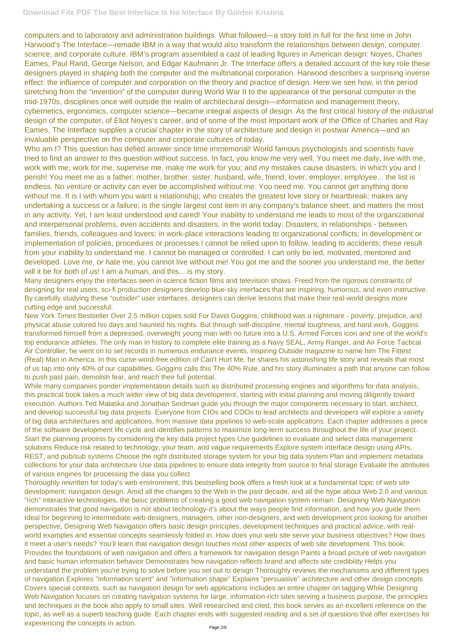computers and to laboratory and administration buildings. What followed—a story told in full for the first time in John Harwood's The Interface—remade IBM in a way that would also transform the relationships between design, computer science, and corporate culture. IBM's program assembled a cast of leading figures in American design: Noyes, Charles Eames, Paul Rand, George Nelson, and Edgar Kaufmann Jr. The Interface offers a detailed account of the key role these designers played in shaping both the computer and the multinational corporation. Harwood describes a surprising inverse effect: the influence of computer and corporation on the theory and practice of design. Here we see how, in the period stretching from the "invention" of the computer during World War II to the appearance of the personal computer in the mid-1970s, disciplines once well outside the realm of architectural design—information and management theory, cybernetics, ergonomics, computer science—became integral aspects of design. As the first critical history of the industrial design of the computer, of Eliot Noyes's career, and of some of the most important work of the Office of Charles and Ray Eames, The Interface supplies a crucial chapter in the story of architecture and design in postwar America—and an invaluable perspective on the computer and corporate cultures of today.

Who am I? This question has defied answer since time immemorial! World famous psychologists and scientists have tried to find an answer to this question without success. In fact, you know me very well. You meet me daily, live with me, work with me, work for me, supervise me, make me work for you; and my mistakes cause disasters, in which you and I perish! You meet me as a father, mother, brother, sister, husband, wife, friend, lover, employer, employee... the list is endless. No venture or activity can ever be accomplished without me. You need me. You cannot get anything done without me. It is I with whom you want a relationship; who creates the greatest love story or heartbreak; makes any undertaking a success or a failure; is the single largest cost item in any company's balance sheet; and matters the most in any activity. Yet, I am least understood and cared! Your inability to understand me leads to most of the organizational and interpersonal problems, even accidents and disasters, in the world today. Disasters, in relationships - between families, friends, colleagues and lovers; in work-place interactions leading to organizational conflicts; in development or implementation of policies, procedures or processes I cannot be relied upon to follow, leading to accidents; these result from your inability to understand me. I cannot be managed or controlled. I can only be led, motivated, mentored and developed. Love me, or hate me, you cannot live without me! You got me and the sooner you understand me, the better will it be for both of us! I am a human, and this... is my story.

Many designers enjoy the interfaces seen in science fiction films and television shows. Freed from the rigorous constraints of designing for real users, sci-fi production designers develop blue-sky interfaces that are inspiring, humorous, and even instructive. By carefully studying these "outsider" user interfaces, designers can derive lessons that make their real-world designs more cutting edge and successful.

New York Times Bestseller Over 2.5 million copies sold For David Goggins, childhood was a nightmare - poverty, prejudice, and physical abuse colored his days and haunted his nights. But through self-discipline, mental toughness, and hard work, Goggins transformed himself from a depressed, overweight young man with no future into a U.S. Armed Forces icon and one of the world's top endurance athletes. The only man in history to complete elite training as a Navy SEAL, Army Ranger, and Air Force Tactical Air Controller, he went on to set records in numerous endurance events, inspiring Outside magazine to name him The Fittest (Real) Man in America. In this curse-word-free edition of Can't Hurt Me, he shares his astonishing life story and reveals that most of us tap into only 40% of our capabilities. Goggins calls this The 40% Rule, and his story illuminates a path that anyone can follow to push past pain, demolish fear, and reach their full potential.

While many companies ponder implementation details such as distributed processing engines and algorithms for data analysis, this practical book takes a much wider view of big data development, starting with initial planning and moving diligently toward execution. Authors Ted Malaska and Jonathan Seidman guide you through the major components necessary to start, architect, and develop successful big data projects. Everyone from CIOs and COOs to lead architects and developers will explore a variety of big data architectures and applications, from massive data pipelines to web-scale applications. Each chapter addresses a piece of the software development life cycle and identifies patterns to maximize long-term success throughout the life of your project. Start the planning process by considering the key data project types Use guidelines to evaluate and select data management solutions Reduce risk related to technology, your team, and vague requirements Explore system interface design using APIs, REST, and pub/sub systems Choose the right distributed storage system for your big data system Plan and implement metadata collections for your data architecture Use data pipelines to ensure data integrity from source to final storage Evaluate the attributes of various engines for processing the data you collect

Thoroughly rewritten for today's web environment, this bestselling book offers a fresh look at a fundamental topic of web site development: navigation design. Amid all the changes to the Web in the past decade, and all the hype about Web 2.0 and various "rich" interactive technologies, the basic problems of creating a good web navigation system remain. Designing Web Navigation demonstrates that good navigation is not about technology-it's about the ways people find information, and how you guide them. Ideal for beginning to intermediate web designers, managers, other non-designers, and web development pros looking for another perspective, Designing Web Navigation offers basic design principles, development techniques and practical advice, with realworld examples and essential concepts seamlessly folded in. How does your web site serve your business objectives? How does it meet a user's needs? You'll learn that navigation design touches most other aspects of web site development. This book: Provides the foundations of web navigation and offers a framework for navigation design Paints a broad picture of web navigation and basic human information behavior Demonstrates how navigation reflects brand and affects site credibility Helps you understand the problem you're trying to solve before you set out to design Thoroughly reviews the mechanisms and different types of navigation Explores "information scent" and "information shape" Explains "persuasive" architecture and other design concepts Covers special contexts, such as navigation design for web applications Includes an entire chapter on tagging While Designing Web Navigation focuses on creating navigation systems for large, information-rich sites serving a business purpose, the principles and techniques in the book also apply to small sites. Well researched and cited, this book serves as an excellent reference on the topic, as well as a superb teaching guide. Each chapter ends with suggested reading and a set of questions that offer exercises for experiencing the concepts in action. Page 2/6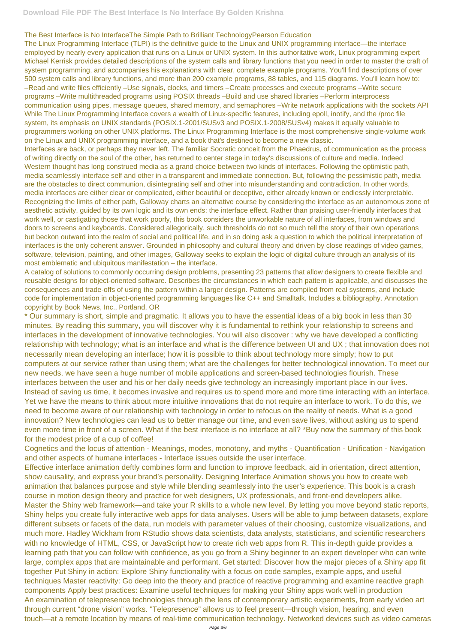## The Best Interface is No InterfaceThe Simple Path to Brilliant TechnologyPearson Education

The Linux Programming Interface (TLPI) is the definitive guide to the Linux and UNIX programming interface—the interface employed by nearly every application that runs on a Linux or UNIX system. In this authoritative work, Linux programming expert Michael Kerrisk provides detailed descriptions of the system calls and library functions that you need in order to master the craft of system programming, and accompanies his explanations with clear, complete example programs. You'll find descriptions of over 500 system calls and library functions, and more than 200 example programs, 88 tables, and 115 diagrams. You'll learn how to: –Read and write files efficiently –Use signals, clocks, and timers –Create processes and execute programs –Write secure programs –Write multithreaded programs using POSIX threads –Build and use shared libraries –Perform interprocess communication using pipes, message queues, shared memory, and semaphores –Write network applications with the sockets API While The Linux Programming Interface covers a wealth of Linux-specific features, including epoll, inotify, and the /proc file system, its emphasis on UNIX standards (POSIX.1-2001/SUSv3 and POSIX.1-2008/SUSv4) makes it equally valuable to programmers working on other UNIX platforms. The Linux Programming Interface is the most comprehensive single-volume work on the Linux and UNIX programming interface, and a book that's destined to become a new classic.

Interfaces are back, or perhaps they never left. The familiar Socratic conceit from the Phaedrus, of communication as the process of writing directly on the soul of the other, has returned to center stage in today's discussions of culture and media. Indeed Western thought has long construed media as a grand choice between two kinds of interfaces. Following the optimistic path, media seamlessly interface self and other in a transparent and immediate connection. But, following the pessimistic path, media are the obstacles to direct communion, disintegrating self and other into misunderstanding and contradiction. In other words, media interfaces are either clear or complicated, either beautiful or deceptive, either already known or endlessly interpretable. Recognizing the limits of either path, Galloway charts an alternative course by considering the interface as an autonomous zone of aesthetic activity, guided by its own logic and its own ends: the interface effect. Rather than praising user-friendly interfaces that work well, or castigating those that work poorly, this book considers the unworkable nature of all interfaces, from windows and doors to screens and keyboards. Considered allegorically, such thresholds do not so much tell the story of their own operations but beckon outward into the realm of social and political life, and in so doing ask a question to which the political interpretation of interfaces is the only coherent answer. Grounded in philosophy and cultural theory and driven by close readings of video games, software, television, painting, and other images, Galloway seeks to explain the logic of digital culture through an analysis of its most emblematic and ubiquitous manifestation – the interface.

A catalog of solutions to commonly occurring design problems, presenting 23 patterns that allow designers to create flexible and reusable designs for object-oriented software. Describes the circumstances in which each pattern is applicable, and discusses the consequences and trade-offs of using the pattern within a larger design. Patterns are compiled from real systems, and include code for implementation in object-oriented programming languages like C++ and Smalltalk. Includes a bibliography. Annotation copyright by Book News, Inc., Portland, OR

\* Our summary is short, simple and pragmatic. It allows you to have the essential ideas of a big book in less than 30 minutes. By reading this summary, you will discover why it is fundamental to rethink your relationship to screens and interfaces in the development of innovative technologies. You will also discover : why we have developed a conflicting relationship with technology; what is an interface and what is the difference between UI and UX ; that innovation does not necessarily mean developing an interface; how it is possible to think about technology more simply; how to put computers at our service rather than using them; what are the challenges for better technological innovation. To meet our new needs, we have seen a huge number of mobile applications and screen-based technologies flourish. These interfaces between the user and his or her daily needs give technology an increasingly important place in our lives. Instead of saving us time, it becomes invasive and requires us to spend more and more time interacting with an interface. Yet we have the means to think about more intuitive innovations that do not require an interface to work. To do this, we need to become aware of our relationship with technology in order to refocus on the reality of needs. What is a good innovation? New technologies can lead us to better manage our time, and even save lives, without asking us to spend even more time in front of a screen. What if the best interface is no interface at all? \*Buy now the summary of this book for the modest price of a cup of coffee!

Cognetics and the locus of attention - Meanings, modes, monotony, and myths - Quantification - Unification - Navigation and other aspects of humane interfaces - Interface issues outside the user interface.

Effective interface animation deftly combines form and function to improve feedback, aid in orientation, direct attention, show causality, and express your brand's personality. Designing Interface Animation shows you how to create web animation that balances purpose and style while blending seamlessly into the user's experience. This book is a crash course in motion design theory and practice for web designers, UX professionals, and front-end developers alike. Master the Shiny web framework—and take your R skills to a whole new level. By letting you move beyond static reports, Shiny helps you create fully interactive web apps for data analyses. Users will be able to jump between datasets, explore different subsets or facets of the data, run models with parameter values of their choosing, customize visualizations, and much more. Hadley Wickham from RStudio shows data scientists, data analysts, statisticians, and scientific researchers with no knowledge of HTML, CSS, or JavaScript how to create rich web apps from R. This in-depth guide provides a learning path that you can follow with confidence, as you go from a Shiny beginner to an expert developer who can write large, complex apps that are maintainable and performant. Get started: Discover how the major pieces of a Shiny app fit together Put Shiny in action: Explore Shiny functionality with a focus on code samples, example apps, and useful techniques Master reactivity: Go deep into the theory and practice of reactive programming and examine reactive graph components Apply best practices: Examine useful techniques for making your Shiny apps work well in production An examination of telepresence technologies through the lens of contemporary artistic experiments, from early video art through current "drone vision" works. "Telepresence" allows us to feel present—through vision, hearing, and even touch—at a remote location by means of real-time communication technology. Networked devices such as video cameras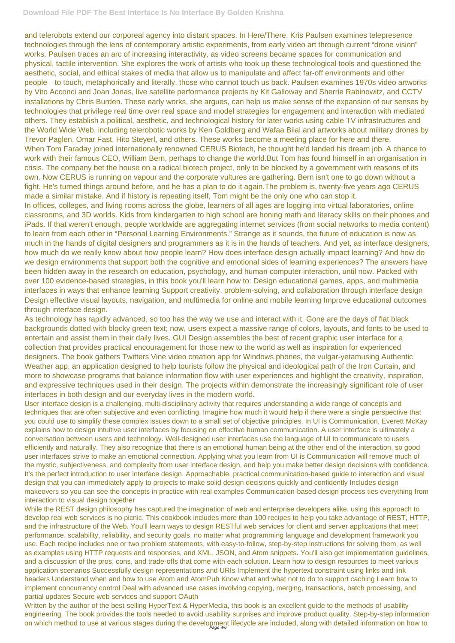## **Download File PDF The Best Interface Is No Interface By Golden Krishna**

and telerobots extend our corporeal agency into distant spaces. In Here/There, Kris Paulsen examines telepresence technologies through the lens of contemporary artistic experiments, from early video art through current "drone vision" works. Paulsen traces an arc of increasing interactivity, as video screens became spaces for communication and physical, tactile intervention. She explores the work of artists who took up these technological tools and questioned the aesthetic, social, and ethical stakes of media that allow us to manipulate and affect far-off environments and other people—to touch, metaphorically and literally, those who cannot touch us back. Paulsen examines 1970s video artworks by Vito Acconci and Joan Jonas, live satellite performance projects by Kit Galloway and Sherrie Rabinowitz, and CCTV installations by Chris Burden. These early works, she argues, can help us make sense of the expansion of our senses by technologies that privilege real time over real space and model strategies for engagement and interaction with mediated others. They establish a political, aesthetic, and technological history for later works using cable TV infrastructures and the World Wide Web, including telerobotic works by Ken Goldberg and Wafaa Bilal and artworks about military drones by Trevor Paglen, Omar Fast, Hito Steyerl, and others. These works become a meeting place for here and there. When Tom Faraday joined internationally renowned CERUS Biotech, he thought he'd landed his dream job. A chance to work with their famous CEO, William Bern, perhaps to change the world.But Tom has found himself in an organisation in crisis. The company bet the house on a radical biotech project, only to be blocked by a government with reasons of its own. Now CERUS is running on vapour and the corporate vultures are gathering. Bern isn't one to go down without a fight. He's turned things around before, and he has a plan to do it again.The problem is, twenty-five years ago CERUS made a similar mistake. And if history is repeating itself, Tom might be the only one who can stop it. In offices, colleges, and living rooms across the globe, learners of all ages are logging into virtual laboratories, online classrooms, and 3D worlds. Kids from kindergarten to high school are honing math and literacy skills on their phones and iPads. If that weren't enough, people worldwide are aggregating internet services (from social networks to media content) to learn from each other in "Personal Learning Environments." Strange as it sounds, the future of education is now as much in the hands of digital designers and programmers as it is in the hands of teachers. And yet, as interface designers, how much do we really know about how people learn? How does interface design actually impact learning? And how do we design environments that support both the cognitive and emotional sides of learning experiences? The answers have been hidden away in the research on education, psychology, and human computer interaction, until now. Packed with over 100 evidence-based strategies, in this book you'll learn how to: Design educational games, apps, and multimedia interfaces in ways that enhance learning Support creativity, problem-solving, and collaboration through interface design Design effective visual layouts, navigation, and multimedia for online and mobile learning Improve educational outcomes through interface design.

Written by the author of the best-selling HyperText & HyperMedia, this book is an excellent guide to the methods of usability engineering. The book provides the tools needed to avoid usability surprises and improve product quality. Step-by-step information on which method to use at various stages during the development lifecycle are included, along with detailed information on how to

As technology has rapidly advanced, so too has the way we use and interact with it. Gone are the days of flat black backgrounds dotted with blocky green text; now, users expect a massive range of colors, layouts, and fonts to be used to entertain and assist them in their daily lives. GUI Design assembles the best of recent graphic user interface for a collection that provides practical encouragement for those new to the world as well as inspiration for experienced designers. The book gathers Twitters Vine video creation app for Windows phones, the vulgar-yetamusing Authentic Weather app, an application designed to help tourists follow the physical and ideological path of the Iron Curtain, and more to showcase programs that balance information flow with user experiences and highlight the creativity, inspiration, and expressive techniques used in their design. The projects within demonstrate the increasingly significant role of user interfaces in both design and our everyday lives in the modern world.

User interface design is a challenging, multi-disciplinary activity that requires understanding a wide range of concepts and techniques that are often subjective and even conflicting. Imagine how much it would help if there were a single perspective that you could use to simplify these complex issues down to a small set of objective principles. In UI is Communication, Everett McKay explains how to design intuitive user interfaces by focusing on effective human communication. A user interface is ultimately a conversation between users and technology. Well-designed user interfaces use the language of UI to communicate to users efficiently and naturally. They also recognize that there is an emotional human being at the other end of the interaction, so good user interfaces strive to make an emotional connection. Applying what you learn from UI is Communication will remove much of the mystic, subjectiveness, and complexity from user interface design, and help you make better design decisions with confidence. It's the perfect introduction to user interface design. Approachable, practical communication-based guide to interaction and visual design that you can immediately apply to projects to make solid design decisions quickly and confidently Includes design

makeovers so you can see the concepts in practice with real examples Communication-based design process ties everything from interaction to visual design together

While the REST design philosophy has captured the imagination of web and enterprise developers alike, using this approach to develop real web services is no picnic. This cookbook includes more than 100 recipes to help you take advantage of REST, HTTP, and the infrastructure of the Web. You'll learn ways to design RESTful web services for client and server applications that meet performance, scalability, reliability, and security goals, no matter what programming language and development framework you use. Each recipe includes one or two problem statements, with easy-to-follow, step-by-step instructions for solving them, as well as examples using HTTP requests and responses, and XML, JSON, and Atom snippets. You'll also get implementation guidelines, and a discussion of the pros, cons, and trade-offs that come with each solution. Learn how to design resources to meet various application scenarios Successfully design representations and URIs Implement the hypertext constraint using links and link headers Understand when and how to use Atom and AtomPub Know what and what not to do to support caching Learn how to implement concurrency control Deal with advanced use cases involving copying, merging, transactions, batch processing, and partial updates Secure web services and support OAuth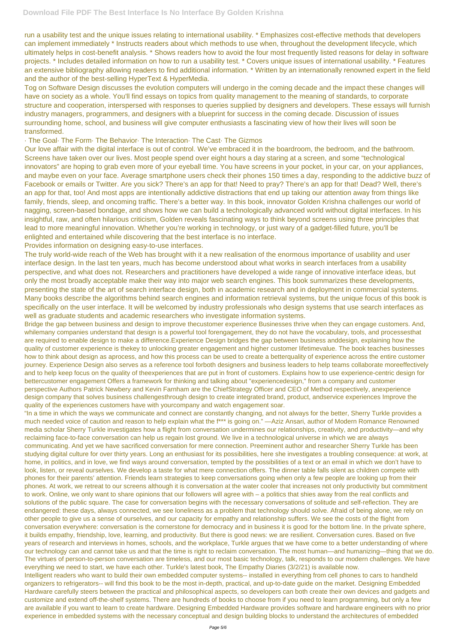run a usability test and the unique issues relating to international usability. \* Emphasizes cost-effective methods that developers can implement immediately \* Instructs readers about which methods to use when, throughout the development lifecycle, which ultimately helps in cost-benefit analysis. \* Shows readers how to avoid the four most frequently listed reasons for delay in software projects. \* Includes detailed information on how to run a usability test. \* Covers unique issues of international usability. \* Features an extensive bibliography allowing readers to find additional information. \* Written by an internationally renowned expert in the field and the author of the best-selling HyperText & HyperMedia.

Tog on Software Design discusses the evolution computers will undergo in the coming decade and the impact these changes will have on society as a whole. You'll find essays on topics from quality management to the meaning of standards, to corporate structure and cooperation, interspersed with responses to queries supplied by designers and developers. These essays will furnish industry managers, programmers, and designers with a blueprint for success in the coming decade. Discussion of issues surrounding home, school, and business will give computer enthusiasts a fascinating view of how their lives will soon be transformed.

#### · The Goal· The Form· The Behavior· The Interaction· The Cast· The Gizmos

Our love affair with the digital interface is out of control. We've embraced it in the boardroom, the bedroom, and the bathroom. Screens have taken over our lives. Most people spend over eight hours a day staring at a screen, and some "technological innovators" are hoping to grab even more of your eyeball time. You have screens in your pocket, in your car, on your appliances, and maybe even on your face. Average smartphone users check their phones 150 times a day, responding to the addictive buzz of Facebook or emails or Twitter. Are you sick? There's an app for that! Need to pray? There's an app for that! Dead? Well, there's an app for that, too! And most apps are intentionally addictive distractions that end up taking our attention away from things like family, friends, sleep, and oncoming traffic. There's a better way. In this book, innovator Golden Krishna challenges our world of nagging, screen-based bondage, and shows how we can build a technologically advanced world without digital interfaces. In his insightful, raw, and often hilarious criticism, Golden reveals fascinating ways to think beyond screens using three principles that lead to more meaningful innovation. Whether you're working in technology, or just wary of a gadget-filled future, you'll be enlighted and entertained while discovering that the best interface is no interface.

Provides information on designing easy-to-use interfaces.

The truly world-wide reach of the Web has brought with it a new realisation of the enormous importance of usability and user interface design. In the last ten years, much has become understood about what works in search interfaces from a usability perspective, and what does not. Researchers and practitioners have developed a wide range of innovative interface ideas, but only the most broadly acceptable make their way into major web search engines. This book summarizes these developments, presenting the state of the art of search interface design, both in academic research and in deployment in commercial systems. Many books describe the algorithms behind search engines and information retrieval systems, but the unique focus of this book is specifically on the user interface. It will be welcomed by industry professionals who design systems that use search interfaces as well as graduate students and academic researchers who investigate information systems.

Bridge the gap between business and design to improve thecustomer experience Businesses thrive when they can engage customers. And, whilemany companies understand that design is a powerful tool forengagement, they do not have the vocabulary, tools, and processesthat are required to enable design to make a difference.Experience Design bridges the gap between business anddesign, explaining how the quality of customer experience is thekey to unlocking greater engagement and higher customer lifetimevalue. The book teaches businesses how to think about design as aprocess, and how this process can be used to create a betterquality of experience across the entire customer journey. Experience Design also serves as a reference tool forboth designers and business leaders to help teams collaborate moreeffectively and to help keep focus on the quality of theexperiences that are put in front of customers. Explains how to use experience-centric design for bettercustomer engagement Offers a framework for thinking and talking about "experiencedesign," from a company and customer perspective Authors Patrick Newbery and Kevin Farnham are the ChiefStrategy Officer and CEO of Method respectively, anexperience design company that solves business challengesthrough design to create integrated brand, product, andservice experiences Improve the quality of the experiences customers have with yourcompany and watch engagement soar.

"In a time in which the ways we communicate and connect are constantly changing, and not always for the better, Sherry Turkle provides a much needed voice of caution and reason to help explain what the f\*\*\* is going on." —Aziz Ansari, author of Modern Romance Renowned media scholar Sherry Turkle investigates how a flight from conversation undermines our relationships, creativity, and productivity—and why reclaiming face-to-face conversation can help us regain lost ground. We live in a technological universe in which we are always communicating. And yet we have sacrificed conversation for mere connection. Preeminent author and researcher Sherry Turkle has been studying digital culture for over thirty years. Long an enthusiast for its possibilities, here she investigates a troubling consequence: at work, at home, in politics, and in love, we find ways around conversation, tempted by the possibilities of a text or an email in which we don't have to look, listen, or reveal ourselves. We develop a taste for what mere connection offers. The dinner table falls silent as children compete with phones for their parents' attention. Friends learn strategies to keep conversations going when only a few people are looking up from their phones. At work, we retreat to our screens although it is conversation at the water cooler that increases not only productivity but commitment to work. Online, we only want to share opinions that our followers will agree with – a politics that shies away from the real conflicts and solutions of the public square. The case for conversation begins with the necessary conversations of solitude and self-reflection. They are endangered: these days, always connected, we see loneliness as a problem that technology should solve. Afraid of being alone, we rely on other people to give us a sense of ourselves, and our capacity for empathy and relationship suffers. We see the costs of the flight from conversation everywhere: conversation is the cornerstone for democracy and in business it is good for the bottom line. In the private sphere, it builds empathy, friendship, love, learning, and productivity. But there is good news: we are resilient. Conversation cures. Based on five years of research and interviews in homes, schools, and the workplace, Turkle argues that we have come to a better understanding of where our technology can and cannot take us and that the time is right to reclaim conversation. The most human—and humanizing—thing that we do. The virtues of person-to-person conversation are timeless, and our most basic technology, talk, responds to our modern challenges. We have everything we need to start, we have each other. Turkle's latest book, The Empathy Diaries (3/2/21) is available now. Intelligent readers who want to build their own embedded computer systems-- installed in everything from cell phones to cars to handheld organizers to refrigerators-- will find this book to be the most in-depth, practical, and up-to-date guide on the market. Designing Embedded Hardware carefully steers between the practical and philosophical aspects, so developers can both create their own devices and gadgets and customize and extend off-the-shelf systems. There are hundreds of books to choose from if you need to learn programming, but only a few are available if you want to learn to create hardware. Designing Embedded Hardware provides software and hardware engineers with no prior experience in embedded systems with the necessary conceptual and design building blocks to understand the architectures of embedded